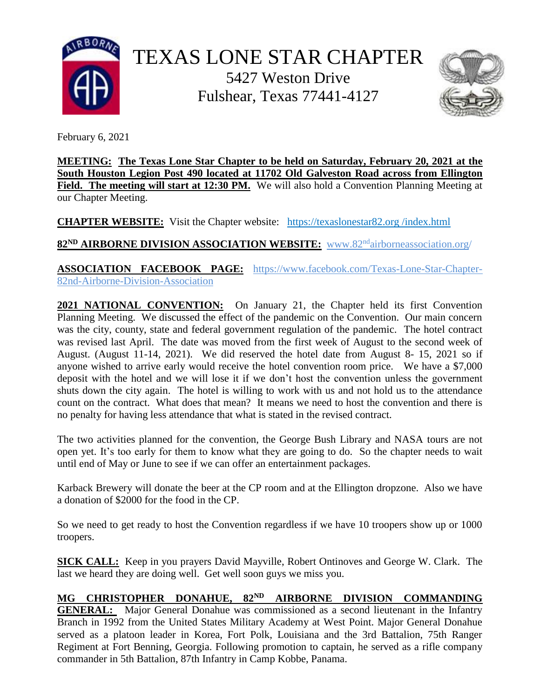



February 6, 2021

**MEETING: The Texas Lone Star Chapter to be held on Saturday, February 20, 2021 at the South Houston Legion Post 490 located at 11702 Old Galveston Road across from Ellington**  Field. The meeting will start at 12:30 PM. We will also hold a Convention Planning Meeting at our Chapter Meeting.

**CHAPTER WEBSITE:** Visit the Chapter website: https://texaslonestar82.org /index.html

**82ND AIRBORNE DIVISION ASSOCIATION WEBSITE:** www.82nd[airborneassociation.org/](http://www.82ndairborneassociation.org/)

**ASSOCIATION FACEBOOK PAGE:** [https://www.facebook.com/T](https://www.facebook.com/)exas-Lone-Star-Chapter-82nd-Airborne-Division-Association

**2021 NATIONAL CONVENTION:** On January 21, the Chapter held its first Convention Planning Meeting. We discussed the effect of the pandemic on the Convention. Our main concern was the city, county, state and federal government regulation of the pandemic. The hotel contract was revised last April. The date was moved from the first week of August to the second week of August. (August 11-14, 2021). We did reserved the hotel date from August 8- 15, 2021 so if anyone wished to arrive early would receive the hotel convention room price. We have a \$7,000 deposit with the hotel and we will lose it if we don't host the convention unless the government shuts down the city again. The hotel is willing to work with us and not hold us to the attendance count on the contract. What does that mean? It means we need to host the convention and there is no penalty for having less attendance that what is stated in the revised contract.

The two activities planned for the convention, the George Bush Library and NASA tours are not open yet. It's too early for them to know what they are going to do. So the chapter needs to wait until end of May or June to see if we can offer an entertainment packages.

Karback Brewery will donate the beer at the CP room and at the Ellington dropzone. Also we have a donation of \$2000 for the food in the CP.

So we need to get ready to host the Convention regardless if we have 10 troopers show up or 1000 troopers.

**SICK CALL:** Keep in you prayers David Mayville, Robert Ontinoves and George W. Clark. The last we heard they are doing well. Get well soon guys we miss you.

## **MG CHRISTOPHER DONAHUE, 82ND AIRBORNE DIVISION COMMANDING**

**GENERAL:** Major General Donahue was commissioned as a second lieutenant in the Infantry Branch in 1992 from the United States Military Academy at West Point. Major General Donahue served as a platoon leader in Korea, Fort Polk, Louisiana and the 3rd Battalion, 75th Ranger Regiment at Fort Benning, Georgia. Following promotion to captain, he served as a rifle company commander in 5th Battalion, 87th Infantry in Camp Kobbe, Panama.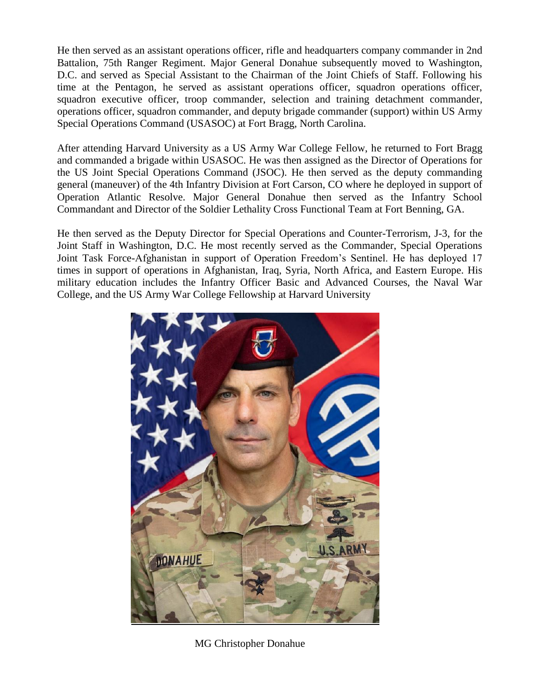He then served as an assistant operations officer, rifle and headquarters company commander in 2nd Battalion, 75th Ranger Regiment. Major General Donahue subsequently moved to Washington, D.C. and served as Special Assistant to the Chairman of the Joint Chiefs of Staff. Following his time at the Pentagon, he served as assistant operations officer, squadron operations officer, squadron executive officer, troop commander, selection and training detachment commander, operations officer, squadron commander, and deputy brigade commander (support) within US Army Special Operations Command (USASOC) at Fort Bragg, North Carolina.

After attending Harvard University as a US Army War College Fellow, he returned to Fort Bragg and commanded a brigade within USASOC. He was then assigned as the Director of Operations for the US Joint Special Operations Command (JSOC). He then served as the deputy commanding general (maneuver) of the 4th Infantry Division at Fort Carson, CO where he deployed in support of Operation Atlantic Resolve. Major General Donahue then served as the Infantry School Commandant and Director of the Soldier Lethality Cross Functional Team at Fort Benning, GA.

He then served as the Deputy Director for Special Operations and Counter-Terrorism, J-3, for the Joint Staff in Washington, D.C. He most recently served as the Commander, Special Operations Joint Task Force-Afghanistan in support of Operation Freedom's Sentinel. He has deployed 17 times in support of operations in Afghanistan, Iraq, Syria, North Africa, and Eastern Europe. His military education includes the Infantry Officer Basic and Advanced Courses, the Naval War College, and the US Army War College Fellowship at Harvard University



MG Christopher Donahue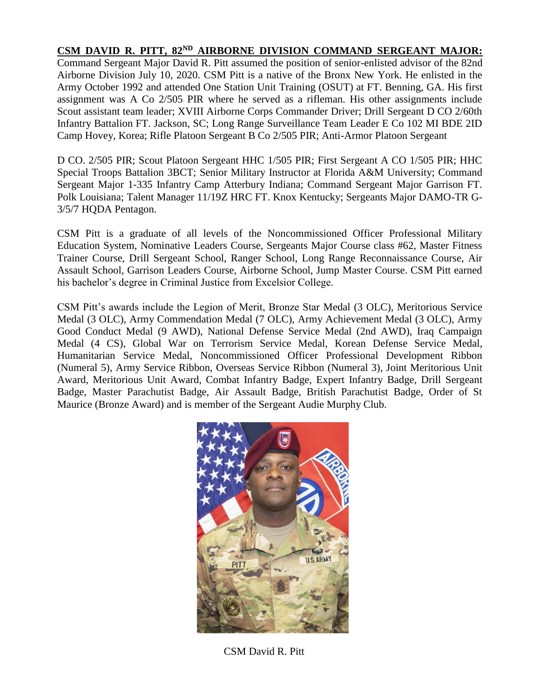## **CSM DAVID R. PITT, 82ND AIRBORNE DIVISION COMMAND SERGEANT MAJOR:**

Command Sergeant Major David R. Pitt assumed the position of senior-enlisted advisor of the 82nd Airborne Division July 10, 2020. CSM Pitt is a native of the Bronx New York. He enlisted in the Army October 1992 and attended One Station Unit Training (OSUT) at FT. Benning, GA. His first assignment was A Co 2/505 PIR where he served as a rifleman. His other assignments include Scout assistant team leader; XVIII Airborne Corps Commander Driver; Drill Sergeant D CO 2/60th Infantry Battalion FT. Jackson, SC; Long Range Surveillance Team Leader E Co 102 MI BDE 2ID Camp Hovey, Korea; Rifle Platoon Sergeant B Co 2/505 PIR; Anti-Armor Platoon Sergeant

D CO. 2/505 PIR; Scout Platoon Sergeant HHC 1/505 PIR; First Sergeant A CO 1/505 PIR; HHC Special Troops Battalion 3BCT; Senior Military Instructor at Florida A&M University; Command Sergeant Major 1-335 Infantry Camp Atterbury Indiana; Command Sergeant Major Garrison FT. Polk Louisiana; Talent Manager 11/19Z HRC FT. Knox Kentucky; Sergeants Major DAMO-TR G-3/5/7 HQDA Pentagon.

CSM Pitt is a graduate of all levels of the Noncommissioned Officer Professional Military Education System, Nominative Leaders Course, Sergeants Major Course class #62, Master Fitness Trainer Course, Drill Sergeant School, Ranger School, Long Range Reconnaissance Course, Air Assault School, Garrison Leaders Course, Airborne School, Jump Master Course. CSM Pitt earned his bachelor's degree in Criminal Justice from Excelsior College.

CSM Pitt's awards include the Legion of Merit, Bronze Star Medal (3 OLC), Meritorious Service Medal (3 OLC), Army Commendation Medal (7 OLC), Army Achievement Medal (3 OLC), Army Good Conduct Medal (9 AWD), National Defense Service Medal (2nd AWD), Iraq Campaign Medal (4 CS), Global War on Terrorism Service Medal, Korean Defense Service Medal, Humanitarian Service Medal, Noncommissioned Officer Professional Development Ribbon (Numeral 5), Army Service Ribbon, Overseas Service Ribbon (Numeral 3), Joint Meritorious Unit Award, Meritorious Unit Award, Combat Infantry Badge, Expert Infantry Badge, Drill Sergeant Badge, Master Parachutist Badge, Air Assault Badge, British Parachutist Badge, Order of St Maurice (Bronze Award) and is member of the Sergeant Audie Murphy Club.



CSM David R. Pitt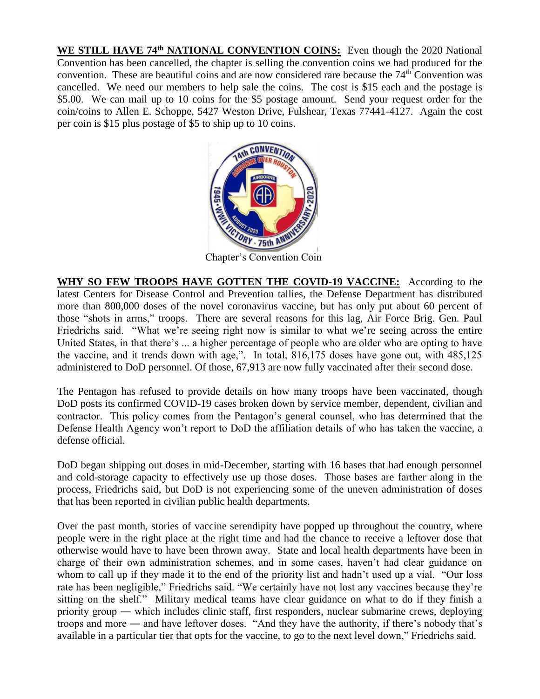**WE STILL HAVE 74th NATIONAL CONVENTION COINS:** Even though the 2020 National Convention has been cancelled, the chapter is selling the convention coins we had produced for the convention. These are beautiful coins and are now considered rare because the  $74<sup>th</sup>$  Convention was cancelled. We need our members to help sale the coins. The cost is \$15 each and the postage is \$5.00. We can mail up to 10 coins for the \$5 postage amount. Send your request order for the coin/coins to Allen E. Schoppe, 5427 Weston Drive, Fulshear, Texas 77441-4127. Again the cost per coin is \$15 plus postage of \$5 to ship up to 10 coins.



Chapter's Convention Coin

**WHY SO FEW TROOPS HAVE GOTTEN THE COVID-19 VACCINE:** According to the latest [Centers for Disease Control and Prevention tallies,](https://covid.cdc.gov/covid-data-tracker/#vaccinations) the Defense Department has distributed more than 800,000 [doses of the novel coronavirus vaccine,](https://www.militarytimes.com/news/your-military/2021/01/12/the-pentagon-wont-say-how-many-covid-19-vaccines-its-given/) but has only put about 60 percent of those ["shots in arms,"](https://www.militarytimes.com/news/your-military/2020/12/09/troops-could-begin-getting-covid-19-vaccines-as-early-as-next-week-and-they-wont-be-mandatory/) troops. There are several reasons for this lag, Air Force Brig. Gen. Paul Friedrichs said. "What we're seeing right now is similar to what we're seeing across the entire United States, in that there's ... a higher percentage of people who are older who are opting to have the vaccine, and it trends down with age,". In total, 816,175 doses have gone out, with 485,125 administered to DoD personnel. Of those, 67,913 are now fully vaccinated after their second dose.

The Pentagon has refused to provide details on how many troops have been vaccinated, though [DoD posts its confirmed COVID-19 cases b](https://www.defense.gov/Explore/Spotlight/Coronavirus/)roken down by service member, dependent, civilian and contractor. This policy comes from the Pentagon's general counsel, who has determined that the Defense Health Agency won't report to DoD the affiliation details of who has taken the vaccine, a defense official.

DoD began shipping out doses in mid-December, starting with 16 bases that had enough personnel and cold-storage capacity to effectively use up those doses. Those bases are farther along in the process, Friedrichs said, but DoD is not experiencing some of the uneven administration of doses that has been reported in civilian public health departments.

Over the past month, stories of [vaccine serendipity](https://apnews.com/article/coronavirus-pandemic-coronavirus-vaccine-1e6792a0bd4695487313fb3430429d94) have popped up throughout the country, where people were in the right place at the right time and had the chance to receive a leftover dose that otherwise would have to have been thrown away. State and local health departments have been in charge of their own administration schemes, and in some cases, haven't had clear guidance on whom to call up if they made it to the end of the priority list and hadn't used up a vial. "Our loss rate has been negligible," Friedrichs said. "We certainly have not lost any vaccines because they're sitting on the shelf." Military medical teams have clear guidance on what to do if they finish a priority group ― which includes clinic staff, first responders, nuclear submarine crews, deploying troops and more ― and have leftover doses. "And they have the authority, if there's nobody that's available in a particular tier that opts for the vaccine, to go to the next level down," Friedrichs said.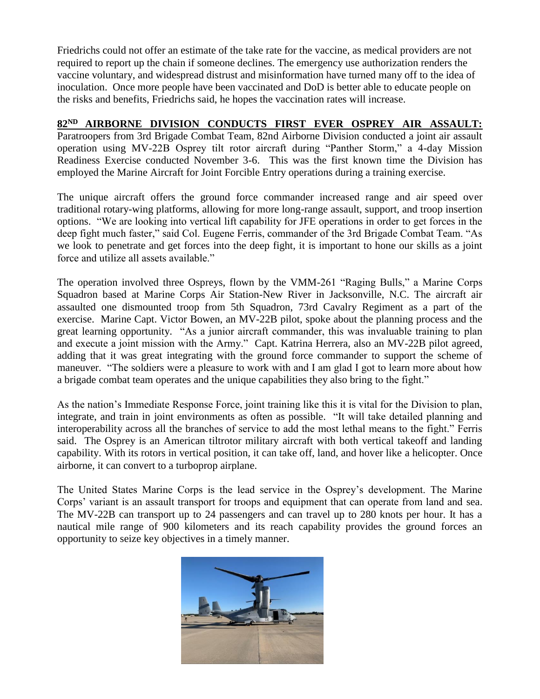Friedrichs could not offer an estimate of the take rate for the vaccine, as medical providers are not required to report up the chain if someone declines. The emergency use authorization renders the vaccine voluntary, and widespread distrust and misinformation have turned many off to the idea of inoculation. Once more people have been vaccinated and DoD is better able to educate people on the risks and benefits, Friedrichs said, he hopes the vaccination rates will increase.

## **82ND AIRBORNE DIVISION CONDUCTS FIRST EVER OSPREY AIR ASSAULT:**

Paratroopers from 3rd Brigade Combat Team, 82nd Airborne Division conducted a joint air assault operation using MV-22B Osprey tilt rotor aircraft during "Panther Storm," a 4-day Mission Readiness Exercise conducted November 3-6. This was the first known time the Division has employed the Marine Aircraft for Joint Forcible Entry operations during a training exercise.

The unique aircraft offers the ground force commander increased range and air speed over traditional rotary-wing platforms, allowing for more long-range assault, support, and troop insertion options. "We are looking into vertical lift capability for JFE operations in order to get forces in the deep fight much faster," said Col. Eugene Ferris, commander of the 3rd Brigade Combat Team. "As we look to penetrate and get forces into the deep fight, it is important to hone our skills as a joint force and utilize all assets available."

The operation involved three Ospreys, flown by the VMM-261 "Raging Bulls," a Marine Corps Squadron based at Marine Corps Air Station-New River in Jacksonville, N.C. The aircraft air assaulted one dismounted troop from 5th Squadron, 73rd Cavalry Regiment as a part of the exercise. Marine Capt. Victor Bowen, an MV-22B pilot, spoke about the planning process and the great learning opportunity. "As a junior aircraft commander, this was invaluable training to plan and execute a joint mission with the Army." Capt. Katrina Herrera, also an MV-22B pilot agreed, adding that it was great integrating with the ground force commander to support the scheme of maneuver. "The soldiers were a pleasure to work with and I am glad I got to learn more about how a brigade combat team operates and the unique capabilities they also bring to the fight."

As the nation's Immediate Response Force, joint training like this it is vital for the Division to plan, integrate, and train in joint environments as often as possible. "It will take detailed planning and interoperability across all the branches of service to add the most lethal means to the fight." Ferris said. The Osprey is an American tiltrotor military aircraft with both vertical takeoff and landing capability. With its rotors in vertical position, it can take off, land, and hover like a helicopter. Once airborne, it can convert to a turboprop airplane.

The United States Marine Corps is the lead service in the Osprey's development. The Marine Corps' variant is an assault transport for troops and equipment that can operate from land and sea. The MV-22B can transport up to 24 passengers and can travel up to 280 knots per hour. It has a nautical mile range of 900 kilometers and its reach capability provides the ground forces an opportunity to seize key objectives in a timely manner.

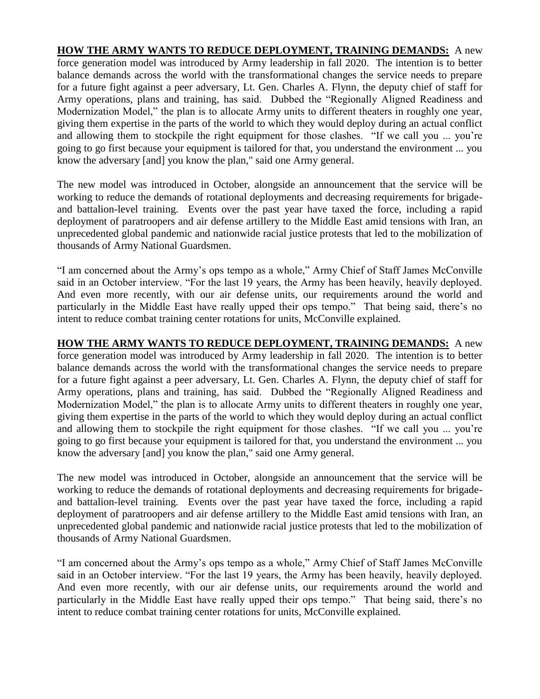**HOW THE ARMY WANTS TO REDUCE DEPLOYMENT, TRAINING DEMANDS:** A new [force generation model](https://www.armytimes.com/news/your-army/2019/10/20/forces-command-chief-how-the-army-is-gearing-up-for-large-scale-combat/) was introduced by Army leadership in fall 2020. The intention is to better balance demands across the world with the transformational changes the service needs to prepare for a future fight against a peer adversary, Lt. Gen. Charles A. Flynn, the deputy chief of staff for [Army operations, plans and training,](https://www.armytimes.com/news/your-army/2019/10/15/the-armys-brigade-combat-teams-are-ready-for-a-big-fight-but-is-that-enough/) has said. Dubbed the "Regionally Aligned Readiness and Modernization Model," the plan is to allocate Army units to different theaters in roughly one year, giving them expertise in the parts of the world to which they would deploy during an actual conflict and allowing them to stockpile the right equipment for those clashes. "If we call you ... you're going to go first because your equipment is tailored for that, you understand the environment ... you know the adversary [and] you know the plan," said one Army general.

The new model was introduced in October, alongside an announcement that the service will be working to reduce the demands of rotational deployments and decreasing requirements for brigadeand battalion-level training. Events over the past year have taxed the force, including a [rapid](https://www.militarytimes.com/flashpoints/2020/01/23/deployed-82nd-airborne-unit-told-to-use-these-encrypted-messaging-apps-on-government-cellphones/)  [deployment of paratroopers](https://www.militarytimes.com/flashpoints/2020/01/23/deployed-82nd-airborne-unit-told-to-use-these-encrypted-messaging-apps-on-government-cellphones/) and [air defense artillery](https://www.armytimes.com/news/2020/08/13/this-army-battalion-is-rewriting-how-missile-defense-gets-done/) to the Middle East amid [tensions with Iran,](https://www.militarytimes.com/flashpoints/2020/01/23/deployed-82nd-airborne-unit-told-to-use-these-encrypted-messaging-apps-on-government-cellphones/) an unprecedented global pandemic and [nationwide racial justice protests](https://www.armytimes.com/news/your-army/2020/06/04/no-those-werent-active-duty-troops-on-the-streets-of-dc-last-night-officials-say/) that led to the mobilization of thousands of [Army National Guardsmen.](https://www.armytimes.com/news/your-army/2020/06/04/no-those-werent-active-duty-troops-on-the-streets-of-dc-last-night-officials-say/)

"I am concerned about the Army's ops tempo as a whole," Army Chief of Staff James McConville said in an October interview. "For the last 19 years, the Army has been heavily, heavily deployed. And even more recently, with our [air defense units,](https://www.militarytimes.com/news/your-military/2019/05/24/about-1000-us-troops-will-head-to-mideast-as-tensions-with-iran-grow/) our requirements around the world and particularly in the Middle East have really upped their ops tempo." That being said, there's no intent to reduce combat training center rotations for units, McConville explained.

**HOW THE ARMY WANTS TO REDUCE DEPLOYMENT, TRAINING DEMANDS:** A new [force generation model](https://www.armytimes.com/news/your-army/2019/10/20/forces-command-chief-how-the-army-is-gearing-up-for-large-scale-combat/) was introduced by Army leadership in fall 2020. The intention is to better balance demands across the world with the transformational changes the service needs to prepare for a future fight against a peer adversary, Lt. Gen. Charles A. Flynn, the deputy chief of staff for [Army operations, plans and training,](https://www.armytimes.com/news/your-army/2019/10/15/the-armys-brigade-combat-teams-are-ready-for-a-big-fight-but-is-that-enough/) has said. Dubbed the "Regionally Aligned Readiness and Modernization Model," the plan is to allocate Army units to different theaters in roughly one year, giving them expertise in the parts of the world to which they would deploy during an actual conflict and allowing them to stockpile the right equipment for those clashes. "If we call you ... you're going to go first because your equipment is tailored for that, you understand the environment ... you know the adversary [and] you know the plan," said one Army general.

The new model was introduced in October, alongside an announcement that the service will be working to reduce the demands of rotational deployments and decreasing requirements for brigadeand battalion-level training. Events over the past year have taxed the force, including a [rapid](https://www.militarytimes.com/flashpoints/2020/01/23/deployed-82nd-airborne-unit-told-to-use-these-encrypted-messaging-apps-on-government-cellphones/)  [deployment of paratroopers](https://www.militarytimes.com/flashpoints/2020/01/23/deployed-82nd-airborne-unit-told-to-use-these-encrypted-messaging-apps-on-government-cellphones/) and [air defense artillery](https://www.armytimes.com/news/2020/08/13/this-army-battalion-is-rewriting-how-missile-defense-gets-done/) to the Middle East amid [tensions with Iran,](https://www.militarytimes.com/flashpoints/2020/01/23/deployed-82nd-airborne-unit-told-to-use-these-encrypted-messaging-apps-on-government-cellphones/) an unprecedented global pandemic and [nationwide racial justice protests](https://www.armytimes.com/news/your-army/2020/06/04/no-those-werent-active-duty-troops-on-the-streets-of-dc-last-night-officials-say/) that led to the mobilization of thousands of [Army National Guardsmen.](https://www.armytimes.com/news/your-army/2020/06/04/no-those-werent-active-duty-troops-on-the-streets-of-dc-last-night-officials-say/)

"I am concerned about the Army's ops tempo as a whole," Army Chief of Staff James McConville said in an October interview. "For the last 19 years, the Army has been heavily, heavily deployed. And even more recently, with our [air defense units,](https://www.militarytimes.com/news/your-military/2019/05/24/about-1000-us-troops-will-head-to-mideast-as-tensions-with-iran-grow/) our requirements around the world and particularly in the Middle East have really upped their ops tempo." That being said, there's no intent to reduce combat training center rotations for units, McConville explained.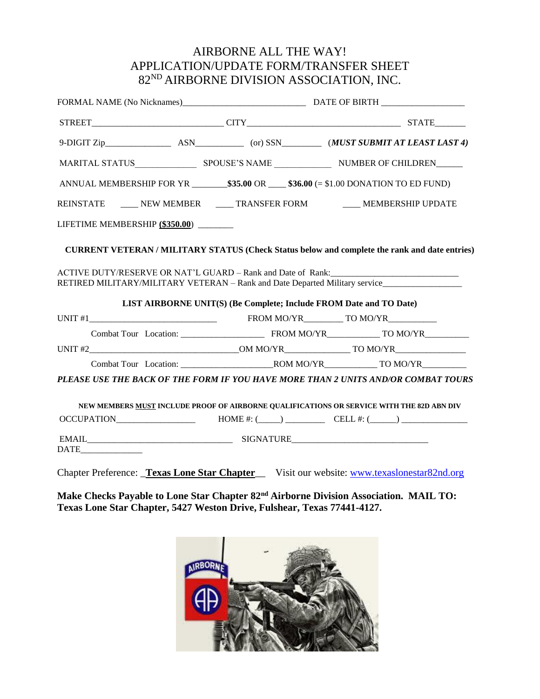## AIRBORNE ALL THE WAY! APPLICATION/UPDATE FORM/TRANSFER SHEET 82ND AIRBORNE DIVISION ASSOCIATION, INC.

| ANNUAL MEMBERSHIP FOR YR $\_\_\_\$ \$35.00 OR $\_\_\$ \$36.00 (= \$1.00 DONATION TO ED FUND)                                                                       |  |                                                                                           |  |  |  |
|--------------------------------------------------------------------------------------------------------------------------------------------------------------------|--|-------------------------------------------------------------------------------------------|--|--|--|
| REINSTATE _____ NEW MEMBER _____ TRANSFER FORM _____ MEMBERSHIP UPDATE                                                                                             |  |                                                                                           |  |  |  |
| LIFETIME MEMBERSHIP (\$350.00)                                                                                                                                     |  |                                                                                           |  |  |  |
| <b>CURRENT VETERAN / MILITARY STATUS (Check Status below and complete the rank and date entries)</b>                                                               |  |                                                                                           |  |  |  |
| ACTIVE DUTY/RESERVE OR NAT'L GUARD – Rank and Date of Rank:<br>RETIRED MILITARY/MILITARY VETERAN - Rank and Date Departed Military service________________________ |  | LIST AIRBORNE UNIT(S) (Be Complete; Include FROM Date and TO Date)                        |  |  |  |
|                                                                                                                                                                    |  |                                                                                           |  |  |  |
|                                                                                                                                                                    |  |                                                                                           |  |  |  |
|                                                                                                                                                                    |  |                                                                                           |  |  |  |
|                                                                                                                                                                    |  |                                                                                           |  |  |  |
| PLEASE USE THE BACK OF THE FORM IF YOU HAVE MORE THAN 2 UNITS AND/OR COMBAT TOURS                                                                                  |  |                                                                                           |  |  |  |
|                                                                                                                                                                    |  | NEW MEMBERS MUST INCLUDE PROOF OF AIRBORNE QUALIFICATIONS OR SERVICE WITH THE 82D ABN DIV |  |  |  |
| OCCUPATION $\qquad \qquad \text{HOME } \#: (\qquad \qquad)$ $\qquad \qquad \text{EELL } \#: (\qquad \qquad)$                                                       |  |                                                                                           |  |  |  |
| $\begin{tabular}{ c c } \hline \multicolumn{3}{ c }{\textbf{DATE}} \end{tabular}$                                                                                  |  |                                                                                           |  |  |  |
| Chapter Preference: Texas Lone Star Chapter Visit our website: www.texaslonestar82nd.org                                                                           |  |                                                                                           |  |  |  |

**Make Checks Payable to Lone Star Chapter 82nd Airborne Division Association. MAIL TO: Texas Lone Star Chapter, 5427 Weston Drive, Fulshear, Texas 77441-4127.**